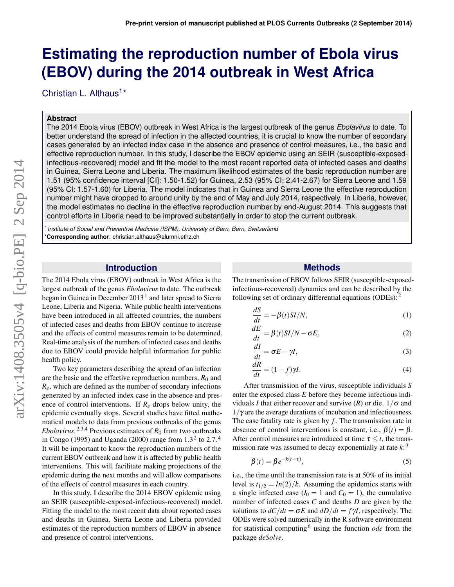# **Estimating the reproduction number of Ebola virus (EBOV) during the 2014 outbreak in West Africa**

Christian L. Althaus<sup>1\*</sup>

### **Abstract**

The 2014 Ebola virus (EBOV) outbreak in West Africa is the largest outbreak of the genus *Ebolavirus* to date. To better understand the spread of infection in the affected countries, it is crucial to know the number of secondary cases generated by an infected index case in the absence and presence of control measures, i.e., the basic and effective reproduction number. In this study, I describe the EBOV epidemic using an SEIR (susceptible-exposedinfectious-recovered) model and fit the model to the most recent reported data of infected cases and deaths in Guinea, Sierra Leone and Liberia. The maximum likelihood estimates of the basic reproduction number are 1.51 (95% confidence interval [CI]: 1.50-1.52) for Guinea, 2.53 (95% CI: 2.41-2.67) for Sierra Leone and 1.59 (95% CI: 1.57-1.60) for Liberia. The model indicates that in Guinea and Sierra Leone the effective reproduction number might have dropped to around unity by the end of May and July 2014, respectively. In Liberia, however, the model estimates no decline in the effective reproduction number by end-August 2014. This suggests that control efforts in Liberia need to be improved substantially in order to stop the current outbreak.

1 *Institute of Social and Preventive Medicine (ISPM), University of Bern, Bern, Switzerland* \***Corresponding author**: christian.althaus@alumni.ethz.ch

## **Introduction**

The 2014 Ebola virus (EBOV) outbreak in West Africa is the largest outbreak of the genus *Ebolavirus* to date. The outbreak began in Guinea in December 20[1](#page-3-0)3<sup>1</sup> and later spread to Sierra Leone, Liberia and Nigeria. While public health interventions have been introduced in all affected countries, the numbers of infected cases and deaths from EBOV continue to increase and the effects of control measures remain to be determined. Real-time analysis of the numbers of infected cases and deaths due to EBOV could provide helpful information for public health policy.

Two key parameters describing the spread of an infection are the basic and the effective reproduction numbers,  $R_0$  and *Re*, which are defined as the number of secondary infections generated by an infected index case in the absence and presence of control interventions. If *R<sup>e</sup>* drops below unity, the epidemic eventually stops. Several studies have fitted mathematical models to data from previous outbreaks of the genus *Ebolavirus*.<sup>[2,](#page-3-1)[3,](#page-3-2)[4](#page-3-3)</sup> Previous estimates of  $R_0$  from two outbreaks in Congo (1995) and Uganda ([2](#page-3-1)000) range from  $1.3<sup>2</sup>$  to 2.7.<sup>[4](#page-3-3)</sup> It will be important to know the reproduction numbers of the current EBOV outbreak and how it is affected by public health interventions. This will facilitate making projections of the epidemic during the next months and will allow comparisons of the effects of control measures in each country.

In this study, I describe the 2014 EBOV epidemic using an SEIR (susceptible-exposed-infectious-recovered) model. Fitting the model to the most recent data about reported cases and deaths in Guinea, Sierra Leone and Liberia provided estimates of the reproduction numbers of EBOV in absence and presence of control interventions.

### **Methods**

The transmission of EBOV follows SEIR (susceptible-exposedinfectious-recovered) dynamics and can be described by the following set of ordinary differential equations (ODEs):  $2$ 

$$
\frac{dS}{dt} = -\beta(t)SI/N,\tag{1}
$$

$$
\frac{dE}{dt} = \beta(t)SI/N - \sigma E,\tag{2}
$$

$$
\frac{dI}{dt} = \sigma E - \gamma I,\tag{3}
$$

$$
\frac{dR}{dt} = (1 - f)\gamma I.
$$
\n(4)

After transmission of the virus, susceptible individuals *S* enter the exposed class *E* before they become infectious individuals *I* that either recover and survive  $(R)$  or die.  $1/\sigma$  and  $1/\gamma$  are the average durations of incubation and infectiousness. The case fatality rate is given by *f*. The transmission rate in absence of control interventions is constant, i.e.,  $\beta(t) = \beta$ . After control measures are introduced at time  $\tau \leq t$ , the transmission rate was assumed to decay exponentially at rate *k*: [3](#page-3-2)

$$
\beta(t) = \beta e^{-k(t-\tau)},\tag{5}
$$

i.e., the time until the transmission rate is at 50% of its initial level is  $t_{1/2} = ln(2)/k$ . Assuming the epidemics starts with a single infected case  $(I_0 = 1$  and  $C_0 = 1)$ , the cumulative number of infected cases *C* and deaths *D* are given by the solutions to  $dC/dt = \sigma E$  and  $dD/dt = f\gamma I$ , respectively. The ODEs were solved numerically in the R software environment for statistical computing[6](#page-3-4) using the function *ode* from the package *deSolve*.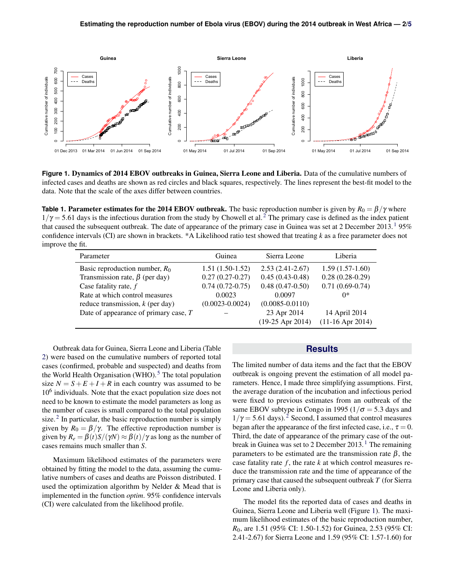<span id="page-1-0"></span>

**Figure 1.** Dynamics of 2014 EBOV outbreaks in Guinea, Sierra Leone and Liberia. Data of the cumulative numbers of infected cases and deaths are shown as red circles and black squares, respectively. The lines represent the best-fit model to the data. Note that the scale of the axes differ between countries.

<span id="page-1-1"></span>**Table 1. Parameter estimates for the 2014 EBOV outbreak.** The basic reproduction number is given by  $R_0 = \beta/\gamma$  where  $1/\gamma = 5.61$  days is the infectious duration from the study by Chowell et al.<sup>[2](#page-3-1)</sup> The primary case is defined as the index patient that caused the subsequent outbreak. The date of appearance of the primary case in Guinea was set at 2 December  $2013<sup>1</sup> 95%$  $2013<sup>1</sup> 95%$  $2013<sup>1</sup> 95%$ confidence intervals (CI) are shown in brackets. \*A Likelihood ratio test showed that treating *k* as a free parameter does not improve the fit.

| Parameter                             | Guinea              | Sierra Leone                      | Liberia                             |  |
|---------------------------------------|---------------------|-----------------------------------|-------------------------------------|--|
| Basic reproduction number, $R_0$      | $1.51(1.50-1.52)$   | $2.53(2.41-2.67)$                 | $1.59(1.57-1.60)$                   |  |
| Transmission rate, $\beta$ (per day)  | $0.27(0.27-0.27)$   | $0.45(0.43-0.48)$                 | $0.28(0.28-0.29)$                   |  |
| Case fatality rate, $f$               | $0.74(0.72-0.75)$   | $0.48(0.47-0.50)$                 | $0.71(0.69-0.74)$                   |  |
| Rate at which control measures        | 0.0023              | 0.0097                            | ∩*                                  |  |
| reduce transmission, $k$ (per day)    | $(0.0023 - 0.0024)$ | $(0.0085 - 0.0110)$               |                                     |  |
| Date of appearance of primary case, T |                     | 23 Apr 2014<br>$(19-25$ Apr 2014) | 14 April 2014<br>$(11-16$ Apr 2014) |  |

Outbreak data for Guinea, Sierra Leone and Liberia (Table [2\)](#page-4-1) were based on the cumulative numbers of reported total cases (confirmed, probable and suspected) and deaths from the World Health Organisation (WHO).<sup>[5](#page-3-5)</sup> The total population size  $N = S + E + I + R$  in each country was assumed to be 10<sup>6</sup> individuals. Note that the exact population size does not need to be known to estimate the model parameters as long as the number of cases is small compared to the total population size.<sup>[2](#page-3-1)</sup> In particular, the basic reproduction number is simply given by  $R_0 = \beta/\gamma$ . The effective reproduction number is given by  $R_e = \beta(t)S/(\gamma N) \approx \beta(t)/\gamma$  as long as the number of cases remains much smaller than *S*.

Maximum likelihood estimates of the parameters were obtained by fitting the model to the data, assuming the cumulative numbers of cases and deaths are Poisson distributed. I used the optimization algorithm by Nelder & Mead that is implemented in the function *optim*. 95% confidence intervals (CI) were calculated from the likelihood profile.

#### **Results**

The limited number of data items and the fact that the EBOV outbreak is ongoing prevent the estimation of all model parameters. Hence, I made three simplifying assumptions. First, the average duration of the incubation and infectious period were fixed to previous estimates from an outbreak of the same EBOV subtype in Congo in 1995 ( $1/\sigma = 5.3$  days and  $1/\gamma$  = 5.61 days).<sup>[2](#page-3-1)</sup> Second, I assumed that control measures began after the appearance of the first infected case, i.e.,  $\tau = 0$ . Third, the date of appearance of the primary case of the out-break in Guinea was set to 2 December 20[1](#page-3-0)3.<sup>1</sup> The remaining parameters to be estimated are the transmission rate β, the case fatality rate *f* , the rate *k* at which control measures reduce the transmission rate and the time of appearance of the primary case that caused the subsequent outbreak *T* (for Sierra Leone and Liberia only).

The model fits the reported data of cases and deaths in Guinea, Sierra Leone and Liberia well (Figure [1\)](#page-1-0). The maximum likelihood estimates of the basic reproduction number, *R*0, are 1.51 (95% CI: 1.50-1.52) for Guinea, 2.53 (95% CI: 2.41-2.67) for Sierra Leone and 1.59 (95% CI: 1.57-1.60) for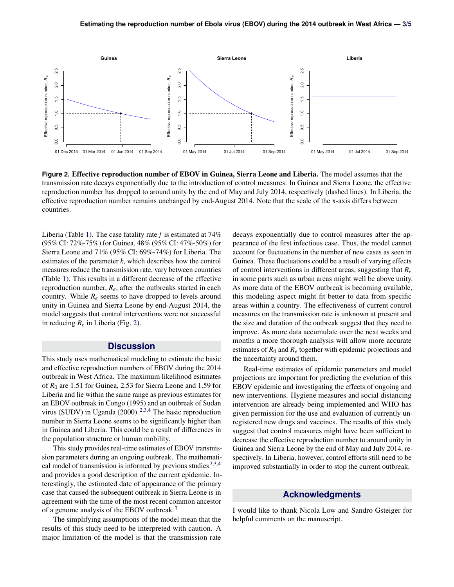<span id="page-2-0"></span>

**Figure 2.** Effective reproduction number of EBOV in Guinea, Sierra Leone and Liberia. The model assumes that the transmission rate decays exponentially due to the introduction of control measures. In Guinea and Sierra Leone, the effective reproduction number has dropped to around unity by the end of May and July 2014, respectively (dashed lines). In Liberia, the effective reproduction number remains unchanged by end-August 2014. Note that the scale of the x-axis differs between countries.

Liberia (Table [1\)](#page-1-1). The case fatality rate *f* is estimated at 74% (95% CI: 72%-75%) for Guinea, 48% (95% CI: 47%-50%) for Sierra Leone and 71% (95% CI: 69%-74%) for Liberia. The estimates of the parameter *k*, which describes how the control measures reduce the transmission rate, vary between countries (Table [1\)](#page-1-1). This results in a different decrease of the effective reproduction number, *Re*, after the outbreaks started in each country. While  $R_e$  seems to have dropped to levels around unity in Guinea and Sierra Leone by end-August 2014, the model suggests that control interventions were not successful in reducing *R<sup>e</sup>* in Liberia (Fig. [2\)](#page-2-0).

## **Discussion**

This study uses mathematical modeling to estimate the basic and effective reproduction numbers of EBOV during the 2014 outbreak in West Africa. The maximum likelihood esitmates of *R*<sup>0</sup> are 1.51 for Guinea, 2.53 for Sierra Leone and 1.59 for Liberia and lie within the same range as previous estimates for an EBOV outbreak in Congo (1995) and an outbreak of Sudan virus (SUDV) in Uganda ([2](#page-3-1)000).  $2,3,4$  $2,3,4$  $2,3,4$  The basic reproduction number in Sierra Leone seems to be significantly higher than in Guinea and Liberia. This could be a result of differences in the population structure or human mobility.

This study provides real-time estimates of EBOV transmission parameters during an ongoing outbreak. The mathematical model of transmission is informed by previous studies  $2,3,4$  $2,3,4$  $2,3,4$ and provides a good description of the current epidemic. Interestingly, the estimated date of appearance of the primary case that caused the subsequent outbreak in Sierra Leone is in agreement with the time of the most recent common ancestor of a genome analysis of the EBOV outbreak. [7](#page-3-6)

The simplifying assumptions of the model mean that the results of this study need to be interpreted with caution. A major limitation of the model is that the transmission rate

decays exponentially due to control measures after the appearance of the first infectious case. Thus, the model cannot account for fluctuations in the number of new cases as seen in Guinea. These fluctuations could be a result of varying effects of control interventions in different areas, suggesting that *R<sup>e</sup>* in some parts such as urban areas might well be above unity. As more data of the EBOV outbreak is becoming available, this modeling aspect might fit better to data from specific areas within a country. The effectiveness of current control measures on the transmission rate is unknown at present and the size and duration of the outbreak suggest that they need to improve. As more data accumulate over the next weeks and months a more thorough analysis will allow more accurate estimates of  $R_0$  and  $R_e$  together with epidemic projections and the uncertainty around them.

Real-time estimates of epidemic parameters and model projections are important for predicting the evolution of this EBOV epidemic and investigating the effects of ongoing and new interventions. Hygiene measures and social distancing intervention are already being implemented and WHO has given permission for the use and evaluation of currently unregistered new drugs and vaccines. The results of this study suggest that control measures might have been sufficient to decrease the effective reproduction number to around unity in Guinea and Sierra Leone by the end of May and July 2014, respectively. In Liberia, however, control efforts still need to be improved substantially in order to stop the current outbreak.

#### **Acknowledgments**

I would like to thank Nicola Low and Sandro Gsteiger for helpful comments on the manuscript.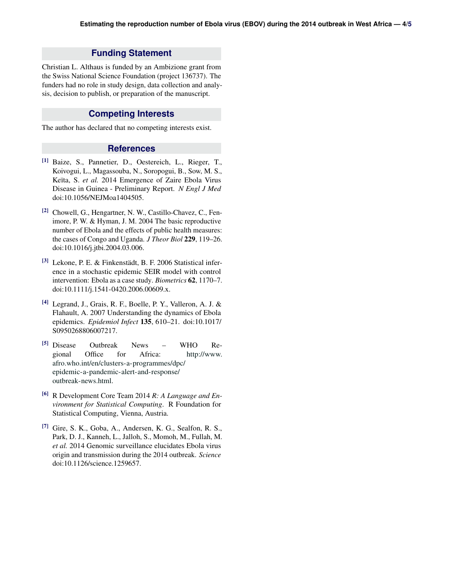## **Funding Statement**

Christian L. Althaus is funded by an Ambizione grant from the Swiss National Science Foundation (project 136737). The funders had no role in study design, data collection and analysis, decision to publish, or preparation of the manuscript.

## **Competing Interests**

The author has declared that no competing interests exist.

## **References**

- <span id="page-3-0"></span>[1] Baize, S., Pannetier, D., Oestereich, L., Rieger, T., Koivogui, L., Magassouba, N., Soropogui, B., Sow, M. S., Keïta, S. et al. 2014 Emergence of Zaire Ebola Virus Disease in Guinea - Preliminary Report. *N Engl J Med* doi:10.1056/NEJMoa1404505.
- <span id="page-3-1"></span>[2] Chowell, G., Hengartner, N. W., Castillo-Chavez, C., Fenimore, P. W. & Hyman, J. M. 2004 The basic reproductive number of Ebola and the effects of public health measures: the cases of Congo and Uganda. *J Theor Biol* 229, 119–26. doi:10.1016/j.jtbi.2004.03.006.
- <span id="page-3-2"></span> $[3]$  Lekone, P. E. & Finkenstädt, B. F. 2006 Statistical inference in a stochastic epidemic SEIR model with control intervention: Ebola as a case study. *Biometrics* 62, 1170–7. doi:10.1111/j.1541-0420.2006.00609.x.
- <span id="page-3-3"></span>[4] Legrand, J., Grais, R. F., Boelle, P. Y., Valleron, A. J. & Flahault, A. 2007 Understanding the dynamics of Ebola epidemics. *Epidemiol Infect* 135, 610–21. doi:10.1017/ S0950268806007217.
- <span id="page-3-5"></span>[5] Disease Outbreak News – WHO Regional Office for Africa: [http://www.](http://www.afro.who.int/en/clusters-a-programmes/dpc/epidemic-a-pandemic-alert-and-response/outbreak-news.html) [afro.who.int/en/clusters-a-programmes/dpc/](http://www.afro.who.int/en/clusters-a-programmes/dpc/epidemic-a-pandemic-alert-and-response/outbreak-news.html) [epidemic-a-pandemic-alert-and-response/](http://www.afro.who.int/en/clusters-a-programmes/dpc/epidemic-a-pandemic-alert-and-response/outbreak-news.html) [outbreak-news.html.](http://www.afro.who.int/en/clusters-a-programmes/dpc/epidemic-a-pandemic-alert-and-response/outbreak-news.html)
- <span id="page-3-4"></span>[6] R Development Core Team 2014 *R: A Language and Environment for Statistical Computing*. R Foundation for Statistical Computing, Vienna, Austria.
- <span id="page-3-6"></span>[7] Gire, S. K., Goba, A., Andersen, K. G., Sealfon, R. S., Park, D. J., Kanneh, L., Jalloh, S., Momoh, M., Fullah, M. *et al.* 2014 Genomic surveillance elucidates Ebola virus origin and transmission during the 2014 outbreak. *Science* doi:10.1126/science.1259657.